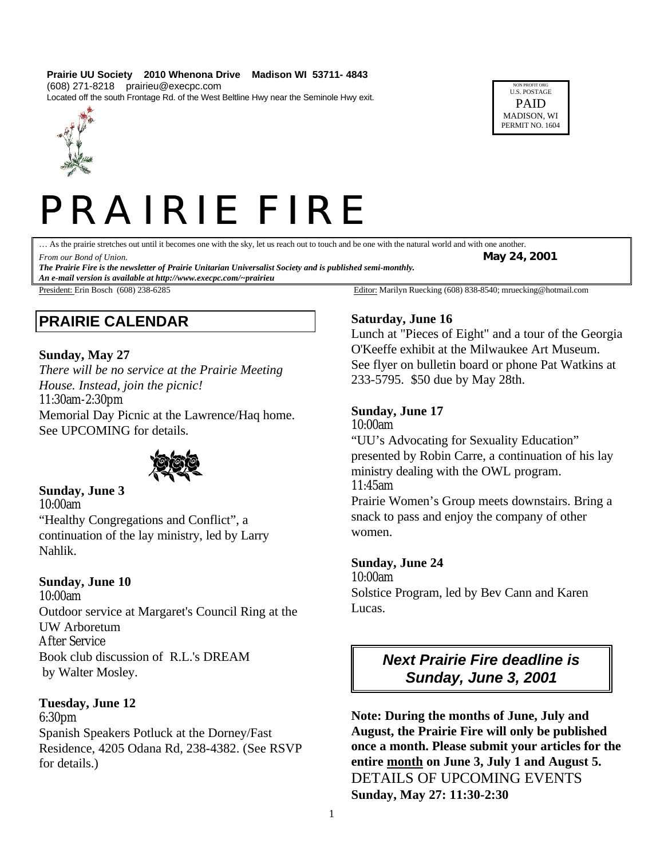#### **Prairie UU Society 2010 Whenona Drive Madison WI 53711- 4843**

(608) 271-8218 prairieu@execpc.com

Located off the south Frontage Rd. of the West Beltline Hwy near the Seminole Hwy exit.

NON PROFIT ORG U.S. POSTAGE PAID MADISON, WI PERMIT NO. 1604



# PRAIRIE FIRE

… As the prairie stretches out until it becomes one with the sky, let us reach out to touch and be one with the natural world and with one another.

*From our Bond of Union.* **May 24, 2001**

*The Prairie Fire is the newsletter of Prairie Unitarian Universalist Society and is published semi-monthly. An e-mail version is available at http://www.execpc.com/~prairieu*

## **PRAIRIE CALENDAR**

## **Sunday, May 27**

*There will be no service at the Prairie Meeting House. Instead, join the picnic!*  11:30am-2:30pm Memorial Day Picnic at the Lawrence/Haq home. See UPCOMING for details.



**Sunday, June 3** 10:00am "Healthy Congregations and Conflict", a continuation of the lay ministry, led by Larry Nahlik.

## **Sunday, June 10**

10:00am Outdoor service at Margaret's Council Ring at the UW Arboretum After Service Book club discussion of R.L.'s DREAM by Walter Mosley.

## **Tuesday, June 12**

6:30pm Spanish Speakers Potluck at the Dorney/Fast Residence, 4205 Odana Rd, 238-4382. (See RSVP for details.)

President: Erin Bosch (608) 238-6285 Editor: Marilyn Ruecking (608) 838-8540; mruecking@hotmail.com

## **Saturday, June 16**

Lunch at "Pieces of Eight" and a tour of the Georgia O'Keeffe exhibit at the Milwaukee Art Museum. See flyer on bulletin board or phone Pat Watkins at 233-5795. \$50 due by May 28th.

## **Sunday, June 17**

10:00am

"UU's Advocating for Sexuality Education" presented by Robin Carre, a continuation of his lay ministry dealing with the OWL program. 11:45am

Prairie Women's Group meets downstairs. Bring a snack to pass and enjoy the company of other women.

## **Sunday, June 24**

10:00am

Solstice Program, led by Bev Cann and Karen Lucas.

> *Next Prairie Fire deadline is Sunday, June 3, 2001*

**Note: During the months of June, July and August, the Prairie Fire will only be published once a month. Please submit your articles for the entire month on June 3, July 1 and August 5.** DETAILS OF UPCOMING EVENTS **Sunday, May 27: 11:30-2:30**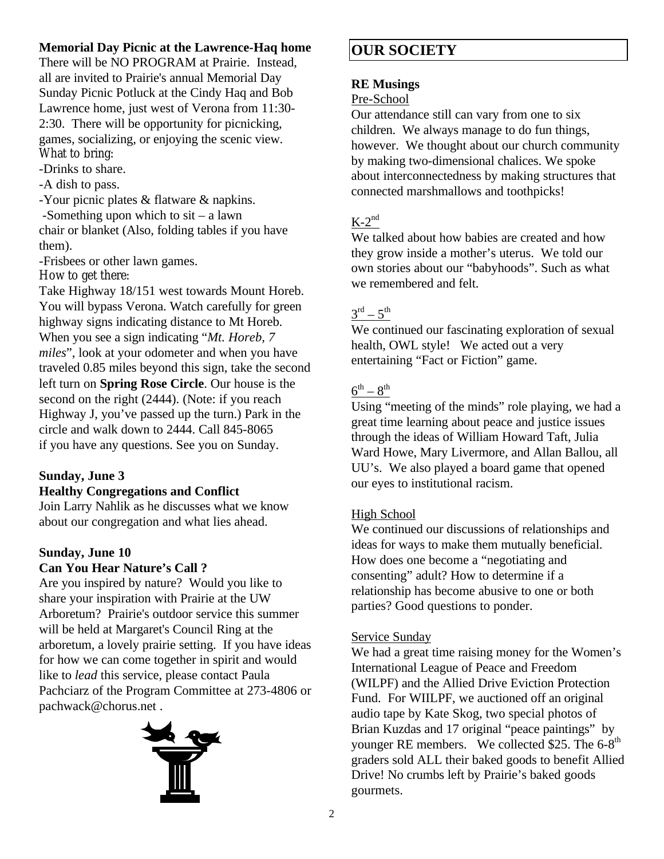## **Memorial Day Picnic at the Lawrence-Haq home**

There will be NO PROGRAM at Prairie. Instead, all are invited to Prairie's annual Memorial Day Sunday Picnic Potluck at the Cindy Haq and Bob Lawrence home, just west of Verona from 11:30- 2:30. There will be opportunity for picnicking, games, socializing, or enjoying the scenic view. What to bring:

-Drinks to share.

-A dish to pass.

-Your picnic plates & flatware & napkins.

-Something upon which to sit – a lawn chair or blanket (Also, folding tables if you have them).

-Frisbees or other lawn games.

How to get there:

Take Highway 18/151 west towards Mount Horeb. You will bypass Verona. Watch carefully for green highway signs indicating distance to Mt Horeb. When you see a sign indicating "*Mt. Horeb, 7 miles*", look at your odometer and when you have traveled 0.85 miles beyond this sign, take the second left turn on **Spring Rose Circle**. Our house is the second on the right (2444). (Note: if you reach Highway J, you've passed up the turn.) Park in the circle and walk down to 2444. Call 845-8065 if you have any questions. See you on Sunday.

## **Sunday, June 3**

## **Healthy Congregations and Conflict**

Join Larry Nahlik as he discusses what we know about our congregation and what lies ahead.

## **Sunday, June 10 Can You Hear Nature's Call ?**

Are you inspired by nature? Would you like to share your inspiration with Prairie at the UW Arboretum? Prairie's outdoor service this summer will be held at Margaret's Council Ring at the arboretum, a lovely prairie setting. If you have ideas for how we can come together in spirit and would like to *lead* this service, please contact Paula Pachciarz of the Program Committee at 273-4806 or pachwack@chorus.net .



# **OUR SOCIETY**

## **RE Musings**

## Pre-School

Our attendance still can vary from one to six children. We always manage to do fun things, however. We thought about our church community by making two-dimensional chalices. We spoke about interconnectedness by making structures that connected marshmallows and toothpicks!

## $K-2^{\text{nd}}$

We talked about how babies are created and how they grow inside a mother's uterus. We told our own stories about our "babyhoods". Such as what we remembered and felt.

## $3^{\text{rd}} - 5^{\text{th}}$

We continued our fascinating exploration of sexual health, OWL style! We acted out a very entertaining "Fact or Fiction" game.

## $6^{\text{th}} - 8^{\text{th}}$

Using "meeting of the minds" role playing, we had a great time learning about peace and justice issues through the ideas of William Howard Taft, Julia Ward Howe, Mary Livermore, and Allan Ballou, all UU's. We also played a board game that opened our eyes to institutional racism.

## High School

We continued our discussions of relationships and ideas for ways to make them mutually beneficial. How does one become a "negotiating and consenting" adult? How to determine if a relationship has become abusive to one or both parties? Good questions to ponder.

## Service Sunday

We had a great time raising money for the Women's International League of Peace and Freedom (WILPF) and the Allied Drive Eviction Protection Fund. For WIILPF, we auctioned off an original audio tape by Kate Skog, two special photos of Brian Kuzdas and 17 original "peace paintings" by younger RE members. We collected \$25. The  $6-8<sup>th</sup>$ graders sold ALL their baked goods to benefit Allied Drive! No crumbs left by Prairie's baked goods gourmets.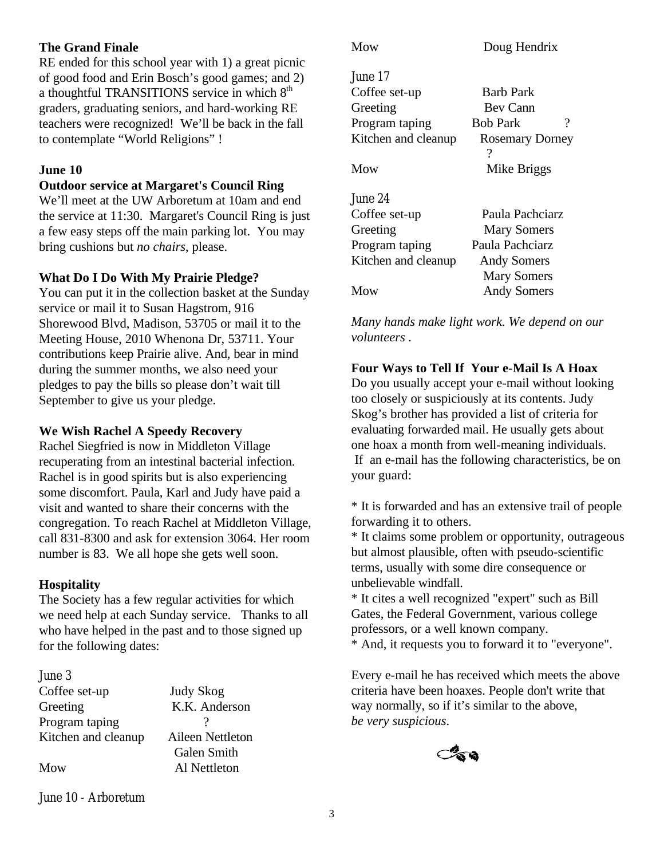## **The Grand Finale**

RE ended for this school year with 1) a great picnic of good food and Erin Bosch's good games; and 2) a thoughtful TRANSITIONS service in which 8<sup>th</sup> graders, graduating seniors, and hard-working RE teachers were recognized! We'll be back in the fall to contemplate "World Religions" !

#### **June 10**

#### **Outdoor service at Margaret's Council Ring**

We'll meet at the UW Arboretum at 10am and end the service at 11:30. Margaret's Council Ring is just a few easy steps off the main parking lot. You may bring cushions but *no chairs*, please.

#### **What Do I Do With My Prairie Pledge?**

You can put it in the collection basket at the Sunday service or mail it to Susan Hagstrom, 916 Shorewood Blvd, Madison, 53705 or mail it to the Meeting House, 2010 Whenona Dr, 53711. Your contributions keep Prairie alive. And, bear in mind during the summer months, we also need your pledges to pay the bills so please don't wait till September to give us your pledge.

#### **We Wish Rachel A Speedy Recovery**

Rachel Siegfried is now in Middleton Village recuperating from an intestinal bacterial infection. Rachel is in good spirits but is also experiencing some discomfort. Paula, Karl and Judy have paid a visit and wanted to share their concerns with the congregation. To reach Rachel at Middleton Village, call 831-8300 and ask for extension 3064. Her room number is 83. We all hope she gets well soon.

#### **Hospitality**

The Society has a few regular activities for which we need help at each Sunday service. Thanks to all who have helped in the past and to those signed up for the following dates:

| June 3              |                    |
|---------------------|--------------------|
| Coffee set-up       | Judy Skog          |
| Greeting            | K.K. Anderson      |
| Program taping      |                    |
| Kitchen and cleanup | Aileen Nettleton   |
|                     | <b>Galen Smith</b> |
| Mow                 | Al Nettleton       |
|                     |                    |

| Mow                 | Doug Hendrix                |
|---------------------|-----------------------------|
| June 17             |                             |
| Coffee set-up       | Barb Park                   |
| Greeting            | Bev Cann                    |
| Program taping      | ?<br><b>Bob Park</b>        |
| Kitchen and cleanup | <b>Rosemary Dorney</b><br>? |
| Mow                 | Mike Briggs                 |
| June 24             |                             |
| Coffee set-up       | Paula Pachciarz             |
| Greeting            | <b>Mary Somers</b>          |
| Program taping      | Paula Pachciarz             |
| Kitchen and cleanup | <b>Andy Somers</b>          |
|                     | <b>Mary Somers</b>          |
| Mow                 | <b>Andy Somers</b>          |

*Many hands make light work. We depend on our volunteers .*

#### **Four Ways to Tell If Your e-Mail Is A Hoax**

Do you usually accept your e-mail without looking too closely or suspiciously at its contents. Judy Skog's brother has provided a list of criteria for evaluating forwarded mail. He usually gets about one hoax a month from well-meaning individuals. If an e-mail has the following characteristics, be on your guard:

\* It is forwarded and has an extensive trail of people forwarding it to others.

\* It claims some problem or opportunity, outrageous but almost plausible, often with pseudo-scientific terms, usually with some dire consequence or unbelievable windfall.

\* It cites a well recognized "expert" such as Bill Gates, the Federal Government, various college professors, or a well known company.

\* And, it requests you to forward it to "everyone".

Every e-mail he has received which meets the above criteria have been hoaxes. People don't write that way normally, so if it's similar to the above, *be very suspicious*.



June 10 - Arboretum